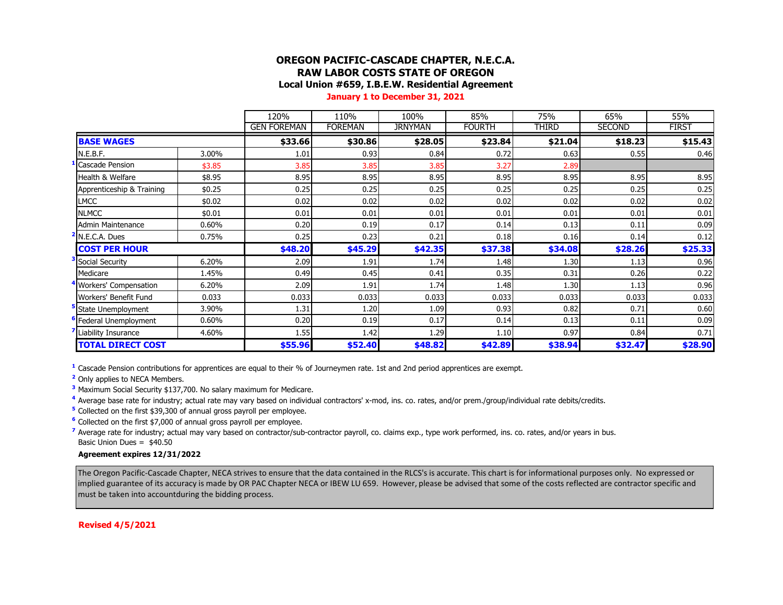### **OREGON PACIFIC-CASCADE CHAPTER, N.E.C.A. RAW LABOR COSTS STATE OF OREGON Local Union #659, I.B.E.W. Residential Agreement**

**January 1 to December 31, 2021**

|                                   |        | 120%               | 110%           | 100%           | 85%           | 75%     | 65%           | 55%          |
|-----------------------------------|--------|--------------------|----------------|----------------|---------------|---------|---------------|--------------|
|                                   |        | <b>GEN FOREMAN</b> | <b>FOREMAN</b> | <b>JRNYMAN</b> | <b>FOURTH</b> | THIRD   | <b>SECOND</b> | <b>FIRST</b> |
| <b>BASE WAGES</b>                 |        | \$33.66            | \$30.86        | \$28.05        | \$23.84       | \$21.04 | \$18.23       | \$15.43      |
| N.E.B.F.                          | 3.00%  | 1.01               | 0.93           | 0.84           | 0.72          | 0.63    | 0.55          | 0.46         |
| <b>Cascade Pension</b>            | \$3.85 | 3.85               | 3.85           | 3.85           | 3.27          | 2.89    |               |              |
| Health & Welfare                  | \$8.95 | 8.95               | 8.95           | 8.95           | 8.95          | 8.95    | 8.95          | 8.95         |
| Apprenticeship & Training         | \$0.25 | 0.25               | 0.25           | 0.25           | 0.25          | 0.25    | 0.25          | 0.25         |
| <b>LMCC</b>                       | \$0.02 | 0.02               | 0.02           | 0.02           | 0.02          | 0.02    | 0.02          | 0.02         |
| <b>NLMCC</b>                      | \$0.01 | 0.01               | 0.01           | 0.01           | 0.01          | 0.01    | 0.01          | 0.01         |
| Admin Maintenance                 | 0.60%  | 0.20               | 0.19           | 0.17           | 0.14          | 0.13    | 0.11          | 0.09         |
| N.E.C.A. Dues                     | 0.75%  | 0.25               | 0.23           | 0.21           | 0.18          | 0.16    | 0.14          | 0.12         |
| <b>COST PER HOUR</b>              |        | \$48.20            | \$45.29        | \$42.35        | \$37.38       | \$34.08 | \$28.26       | \$25.33      |
| Social Security                   | 6.20%  | 2.09               | 1.91           | 1.74           | 1.48          | 1.30    | 1.13          | 0.96         |
| Medicare                          | 1.45%  | 0.49               | 0.45           | 0.41           | 0.35          | 0.31    | 0.26          | 0.22         |
| Workers' Compensation             | 6.20%  | 2.09               | 1.91           | 1.74           | 1.48          | 1.30    | 1.13          | 0.96         |
| Workers' Benefit Fund             | 0.033  | 0.033              | 0.033          | 0.033          | 0.033         | 0.033   | 0.033         | 0.033        |
| State Unemployment                | 3.90%  | 1.31               | 1.20           | 1.09           | 0.93          | 0.82    | 0.71          | 0.60         |
| <sup>•</sup> Federal Unemployment | 0.60%  | 0.20               | 0.19           | 0.17           | 0.14          | 0.13    | 0.11          | 0.09         |
| Liability Insurance               | 4.60%  | 1.55               | 1.42           | 1.29           | 1.10          | 0.97    | 0.84          | 0.71         |
| <b>TOTAL DIRECT COST</b>          |        | \$55.96            | \$52.40        | \$48.82        | \$42.89       | \$38.94 | \$32.47       | \$28.90      |

**<sup>1</sup>** Cascade Pension contributions for apprentices are equal to their % of Journeymen rate. 1st and 2nd period apprentices are exempt.

**<sup>2</sup>** Only applies to NECA Members.

**<sup>3</sup>** Maximum Social Security \$137,700. No salary maximum for Medicare.

**<sup>4</sup>** Average base rate for industry; actual rate may vary based on individual contractors' x-mod, ins. co. rates, and/or prem./group/individual rate debits/credits.

**<sup>5</sup>** Collected on the first \$39,300 of annual gross payroll per employee.

**<sup>6</sup>** Collected on the first \$7,000 of annual gross payroll per employee.

<sup>7</sup> Average rate for industry; actual may vary based on contractor/sub-contractor payroll, co. claims exp., type work performed, ins. co. rates, and/or years in bus. Basic Union Dues = \$40.50

#### **Agreement expires 12/31/2022**

The Oregon Pacific-Cascade Chapter, NECA strives to ensure that the data contained in the RLCS's is accurate. This chart is for informational purposes only. No expressed or implied guarantee of its accuracy is made by OR PAC Chapter NECA or IBEW LU 659. However, please be advised that some of the costs reflected are contractor specific and must be taken into accountduring the bidding process.

**Revised 4/5/2021**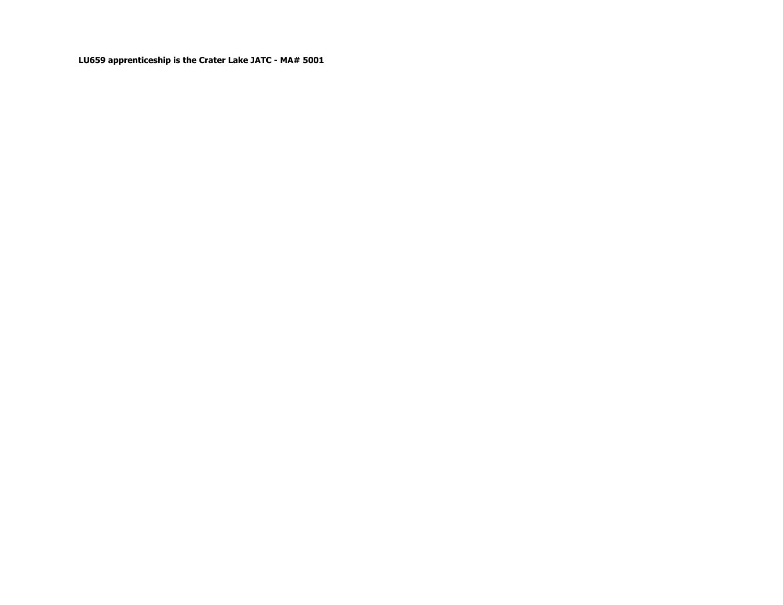**LU659 apprenticeship is the Crater Lake JATC - MA# 5001**